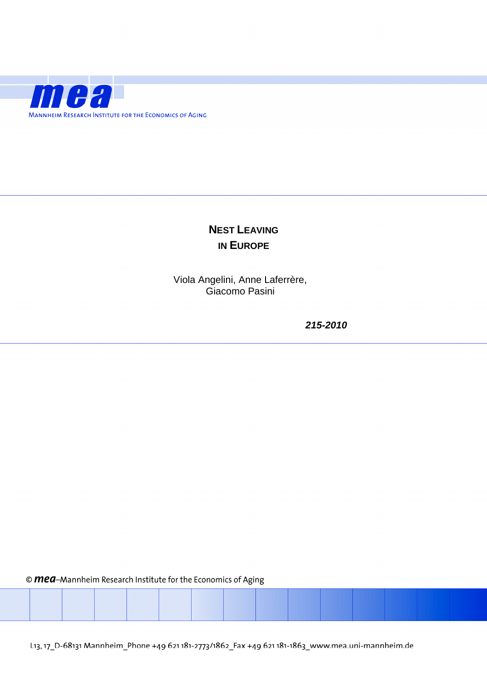

# **NEST LEAVING IN EUROPE**

Viola Angelini, Anne Laferrère, Giacomo Pasini

**215-2010** 

© mea-Mannheim Research Institute for the Economics of Aging

L13, 17\_D-68131 Mannheim\_Phone +49 621 181-2773/1862\_Fax +49 621 181-1863\_www.mea.uni-mannheim.de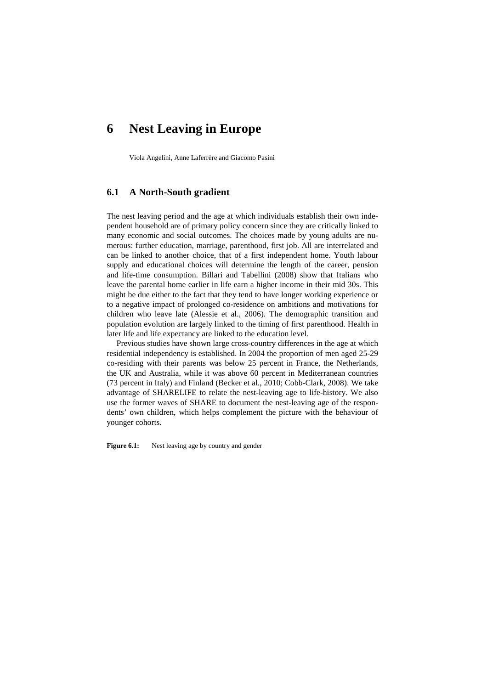## **6 Nest Leaving in Europe**

Viola Angelini, Anne Laferrère and Giacomo Pasini

### **6.1 A North-South gradient**

The nest leaving period and the age at which individuals establish their own independent household are of primary policy concern since they are critically linked to many economic and social outcomes. The choices made by young adults are numerous: further education, marriage, parenthood, first job. All are interrelated and can be linked to another choice, that of a first independent home. Youth labour supply and educational choices will determine the length of the career, pension and life-time consumption. Billari and Tabellini (2008) show that Italians who leave the parental home earlier in life earn a higher income in their mid 30s. This might be due either to the fact that they tend to have longer working experience or to a negative impact of prolonged co-residence on ambitions and motivations for children who leave late (Alessie et al., 2006). The demographic transition and population evolution are largely linked to the timing of first parenthood. Health in later life and life expectancy are linked to the education level.

Previous studies have shown large cross-country differences in the age at which residential independency is established. In 2004 the proportion of men aged 25-29 co-residing with their parents was below 25 percent in France, the Netherlands, the UK and Australia, while it was above 60 percent in Mediterranean countries (73 percent in Italy) and Finland (Becker et al., 2010; Cobb-Clark, 2008). We take advantage of SHARELIFE to relate the nest-leaving age to life-history. We also use the former waves of SHARE to document the nest-leaving age of the respondents' own children, which helps complement the picture with the behaviour of younger cohorts.

**Figure 6.1:** Nest leaving age by country and gender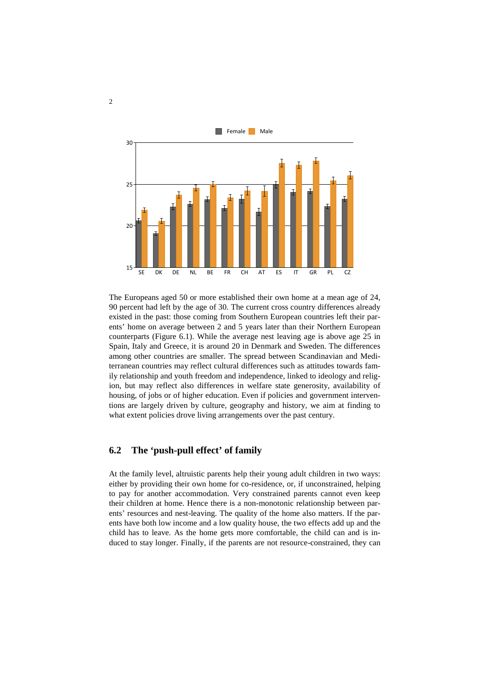

The Europeans aged 50 or more established their own home at a mean age of 24, 90 percent had left by the age of 30. The current cross country differences already existed in the past: those coming from Southern European countries left their parents' home on average between 2 and 5 years later than their Northern European counterparts (Figure 6.1). While the average nest leaving age is above age 25 in Spain, Italy and Greece, it is around 20 in Denmark and Sweden. The differences among other countries are smaller. The spread between Scandinavian and Mediterranean countries may reflect cultural differences such as attitudes towards family relationship and youth freedom and independence, linked to ideology and religion, but may reflect also differences in welfare state generosity, availability of housing, of jobs or of higher education. Even if policies and government interventions are largely driven by culture, geography and history, we aim at finding to what extent policies drove living arrangements over the past century.

#### **6.2 The 'push-pull effect' of family**

At the family level, altruistic parents help their young adult children in two ways: either by providing their own home for co-residence, or, if unconstrained, helping to pay for another accommodation. Very constrained parents cannot even keep their children at home. Hence there is a non-monotonic relationship between parents' resources and nest-leaving. The quality of the home also matters. If the parents have both low income and a low quality house, the two effects add up and the child has to leave. As the home gets more comfortable, the child can and is induced to stay longer. Finally, if the parents are not resource-constrained, they can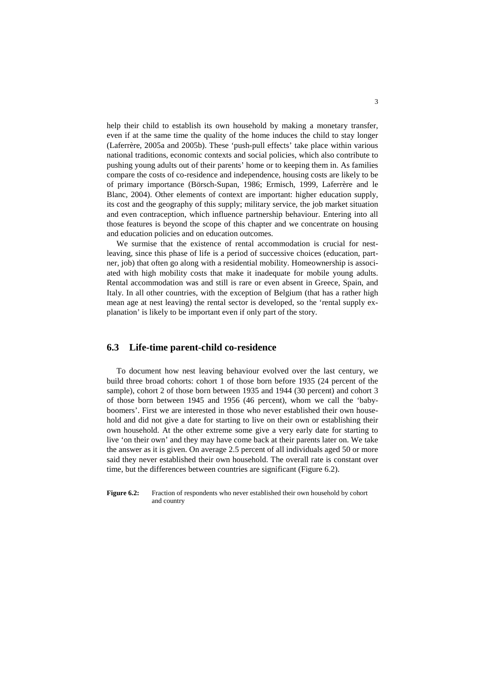help their child to establish its own household by making a monetary transfer, even if at the same time the quality of the home induces the child to stay longer (Laferrère, 2005a and 2005b). These 'push-pull effects' take place within various national traditions, economic contexts and social policies, which also contribute to pushing young adults out of their parents' home or to keeping them in. As families compare the costs of co-residence and independence, housing costs are likely to be of primary importance (Börsch-Supan, 1986; Ermisch, 1999, Laferrère and le Blanc, 2004). Other elements of context are important: higher education supply, its cost and the geography of this supply; military service, the job market situation and even contraception, which influence partnership behaviour. Entering into all those features is beyond the scope of this chapter and we concentrate on housing and education policies and on education outcomes.

We surmise that the existence of rental accommodation is crucial for nestleaving, since this phase of life is a period of successive choices (education, partner, job) that often go along with a residential mobility. Homeownership is associated with high mobility costs that make it inadequate for mobile young adults. Rental accommodation was and still is rare or even absent in Greece, Spain, and Italy. In all other countries, with the exception of Belgium (that has a rather high mean age at nest leaving) the rental sector is developed, so the 'rental supply explanation' is likely to be important even if only part of the story.

#### **6.3 Life-time parent-child co-residence**

To document how nest leaving behaviour evolved over the last century, we build three broad cohorts: cohort 1 of those born before 1935 (24 percent of the sample), cohort 2 of those born between 1935 and 1944 (30 percent) and cohort 3 of those born between 1945 and 1956 (46 percent), whom we call the 'babyboomers'. First we are interested in those who never established their own household and did not give a date for starting to live on their own or establishing their own household. At the other extreme some give a very early date for starting to live 'on their own' and they may have come back at their parents later on. We take the answer as it is given. On average 2.5 percent of all individuals aged 50 or more said they never established their own household. The overall rate is constant over time, but the differences between countries are significant (Figure 6.2).

Figure 6.2: Fraction of respondents who never established their own household by cohort and country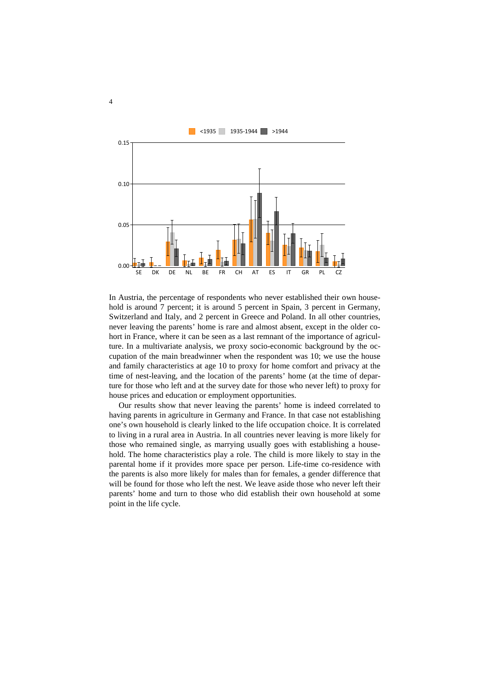

In Austria, the percentage of respondents who never established their own household is around 7 percent; it is around 5 percent in Spain, 3 percent in Germany, Switzerland and Italy, and 2 percent in Greece and Poland. In all other countries, never leaving the parents' home is rare and almost absent, except in the older cohort in France, where it can be seen as a last remnant of the importance of agriculture. In a multivariate analysis, we proxy socio-economic background by the occupation of the main breadwinner when the respondent was 10; we use the house and family characteristics at age 10 to proxy for home comfort and privacy at the time of nest-leaving, and the location of the parents' home (at the time of departure for those who left and at the survey date for those who never left) to proxy for house prices and education or employment opportunities.

Our results show that never leaving the parents' home is indeed correlated to having parents in agriculture in Germany and France. In that case not establishing one's own household is clearly linked to the life occupation choice. It is correlated to living in a rural area in Austria. In all countries never leaving is more likely for those who remained single, as marrying usually goes with establishing a household. The home characteristics play a role. The child is more likely to stay in the parental home if it provides more space per person. Life-time co-residence with the parents is also more likely for males than for females, a gender difference that will be found for those who left the nest. We leave aside those who never left their parents' home and turn to those who did establish their own household at some point in the life cycle.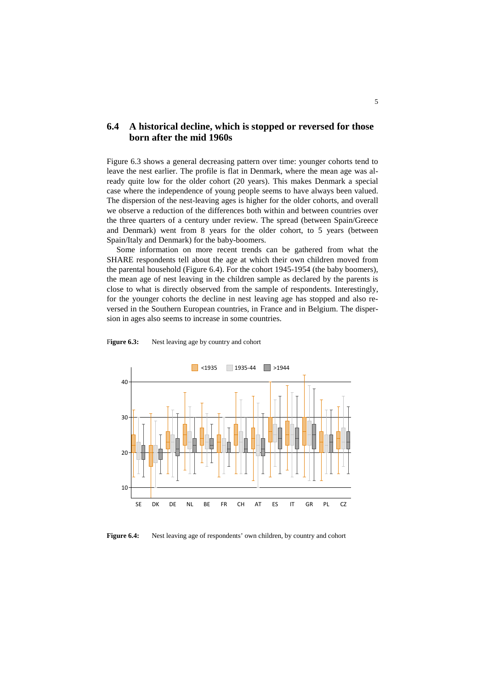## **6.4 A historical decline, which is stopped or reversed for those born after the mid 1960s**

Figure 6.3 shows a general decreasing pattern over time: younger cohorts tend to leave the nest earlier. The profile is flat in Denmark, where the mean age was already quite low for the older cohort (20 years). This makes Denmark a special case where the independence of young people seems to have always been valued. The dispersion of the nest-leaving ages is higher for the older cohorts, and overall we observe a reduction of the differences both within and between countries over the three quarters of a century under review. The spread (between Spain/Greece and Denmark) went from 8 years for the older cohort, to 5 years (between Spain/Italy and Denmark) for the baby-boomers.

Some information on more recent trends can be gathered from what the SHARE respondents tell about the age at which their own children moved from the parental household (Figure 6.4). For the cohort 1945-1954 (the baby boomers), the mean age of nest leaving in the children sample as declared by the parents is close to what is directly observed from the sample of respondents. Interestingly, for the younger cohorts the decline in nest leaving age has stopped and also reversed in the Southern European countries, in France and in Belgium. The dispersion in ages also seems to increase in some countries.





Figure 6.4: Nest leaving age of respondents' own children, by country and cohort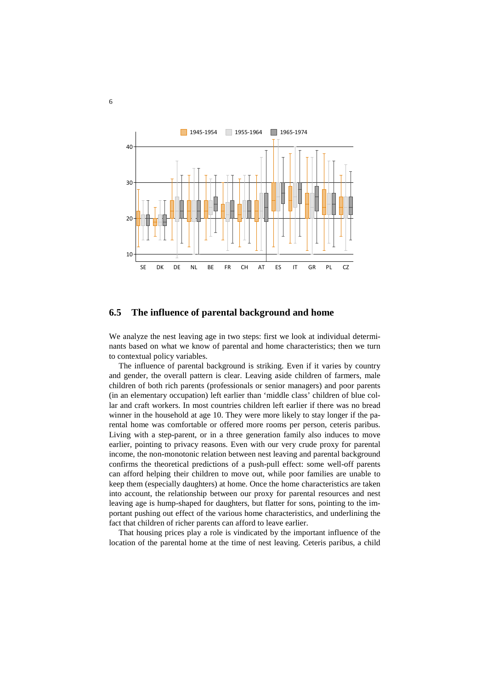

#### **6.5 The influence of parental background and home**

We analyze the nest leaving age in two steps: first we look at individual determinants based on what we know of parental and home characteristics; then we turn to contextual policy variables.

The influence of parental background is striking. Even if it varies by country and gender, the overall pattern is clear. Leaving aside children of farmers, male children of both rich parents (professionals or senior managers) and poor parents (in an elementary occupation) left earlier than 'middle class' children of blue collar and craft workers. In most countries children left earlier if there was no bread winner in the household at age 10. They were more likely to stay longer if the parental home was comfortable or offered more rooms per person, ceteris paribus. Living with a step-parent, or in a three generation family also induces to move earlier, pointing to privacy reasons. Even with our very crude proxy for parental income, the non-monotonic relation between nest leaving and parental background confirms the theoretical predictions of a push-pull effect: some well-off parents can afford helping their children to move out, while poor families are unable to keep them (especially daughters) at home. Once the home characteristics are taken into account, the relationship between our proxy for parental resources and nest leaving age is hump-shaped for daughters, but flatter for sons, pointing to the important pushing out effect of the various home characteristics, and underlining the fact that children of richer parents can afford to leave earlier.

That housing prices play a role is vindicated by the important influence of the location of the parental home at the time of nest leaving. Ceteris paribus, a child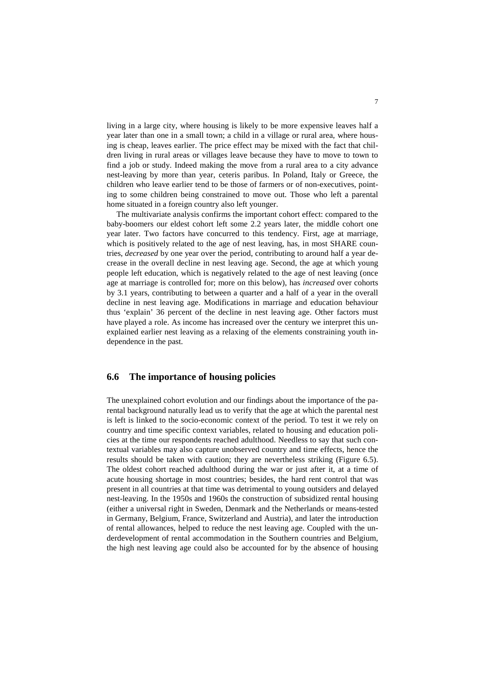living in a large city, where housing is likely to be more expensive leaves half a year later than one in a small town; a child in a village or rural area, where housing is cheap, leaves earlier. The price effect may be mixed with the fact that children living in rural areas or villages leave because they have to move to town to find a job or study. Indeed making the move from a rural area to a city advance nest-leaving by more than year, ceteris paribus. In Poland, Italy or Greece, the children who leave earlier tend to be those of farmers or of non-executives, pointing to some children being constrained to move out. Those who left a parental home situated in a foreign country also left younger.

The multivariate analysis confirms the important cohort effect: compared to the baby-boomers our eldest cohort left some 2.2 years later, the middle cohort one year later. Two factors have concurred to this tendency. First, age at marriage, which is positively related to the age of nest leaving, has, in most SHARE countries, *decreased* by one year over the period, contributing to around half a year decrease in the overall decline in nest leaving age. Second, the age at which young people left education, which is negatively related to the age of nest leaving (once age at marriage is controlled for; more on this below), has *increased* over cohorts by 3.1 years, contributing to between a quarter and a half of a year in the overall decline in nest leaving age. Modifications in marriage and education behaviour thus 'explain' 36 percent of the decline in nest leaving age. Other factors must have played a role. As income has increased over the century we interpret this unexplained earlier nest leaving as a relaxing of the elements constraining youth independence in the past.

#### **6.6 The importance of housing policies**

The unexplained cohort evolution and our findings about the importance of the parental background naturally lead us to verify that the age at which the parental nest is left is linked to the socio-economic context of the period. To test it we rely on country and time specific context variables, related to housing and education policies at the time our respondents reached adulthood. Needless to say that such contextual variables may also capture unobserved country and time effects, hence the results should be taken with caution; they are nevertheless striking (Figure 6.5). The oldest cohort reached adulthood during the war or just after it, at a time of acute housing shortage in most countries; besides, the hard rent control that was present in all countries at that time was detrimental to young outsiders and delayed nest-leaving. In the 1950s and 1960s the construction of subsidized rental housing (either a universal right in Sweden, Denmark and the Netherlands or means-tested in Germany, Belgium, France, Switzerland and Austria), and later the introduction of rental allowances, helped to reduce the nest leaving age. Coupled with the underdevelopment of rental accommodation in the Southern countries and Belgium, the high nest leaving age could also be accounted for by the absence of housing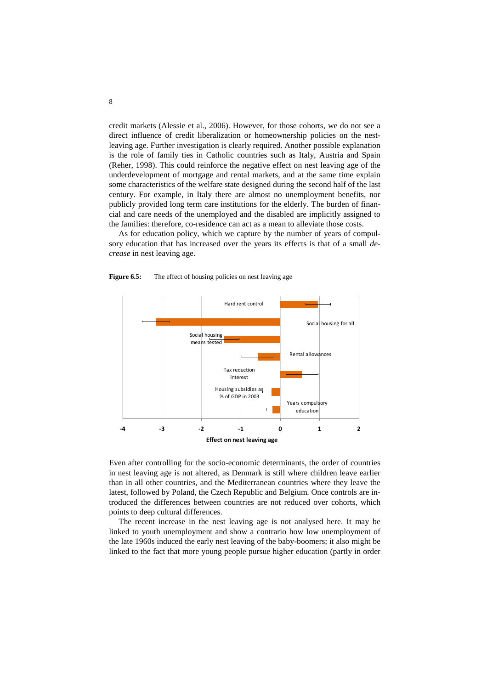credit markets (Alessie et al., 2006). However, for those cohorts, we do not see a direct influence of credit liberalization or homeownership policies on the nestleaving age. Further investigation is clearly required. Another possible explanation is the role of family ties in Catholic countries such as Italy, Austria and Spain (Reher, 1998). This could reinforce the negative effect on nest leaving age of the underdevelopment of mortgage and rental markets, and at the same time explain some characteristics of the welfare state designed during the second half of the last century. For example, in Italy there are almost no unemployment benefits, nor publicly provided long term care institutions for the elderly. The burden of financial and care needs of the unemployed and the disabled are implicitly assigned to the families: therefore, co-residence can act as a mean to alleviate those costs.

As for education policy, which we capture by the number of years of compulsory education that has increased over the years its effects is that of a small *decrease* in nest leaving age.

**Figure 6.5:** The effect of housing policies on nest leaving age



Even after controlling for the socio-economic determinants, the order of countries in nest leaving age is not altered, as Denmark is still where children leave earlier than in all other countries, and the Mediterranean countries where they leave the latest, followed by Poland, the Czech Republic and Belgium. Once controls are introduced the differences between countries are not reduced over cohorts, which points to deep cultural differences.

The recent increase in the nest leaving age is not analysed here. It may be linked to youth unemployment and show a contrario how low unemployment of the late 1960s induced the early nest leaving of the baby-boomers; it also might be linked to the fact that more young people pursue higher education (partly in order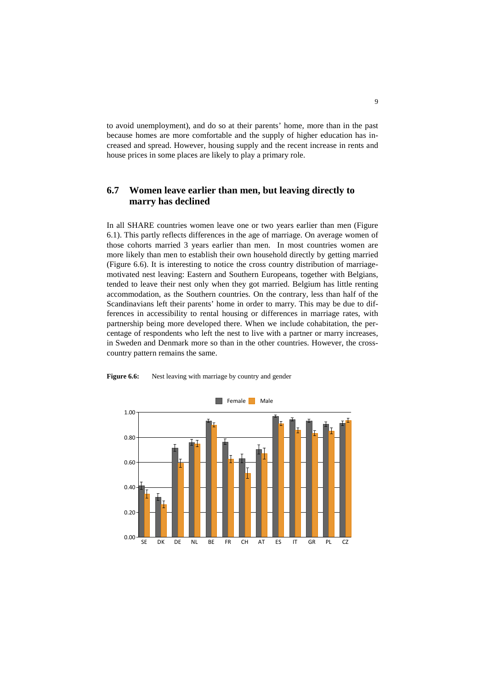to avoid unemployment), and do so at their parents' home, more than in the past because homes are more comfortable and the supply of higher education has increased and spread. However, housing supply and the recent increase in rents and house prices in some places are likely to play a primary role.

## **6.7 Women leave earlier than men, but leaving directly to marry has declined**

In all SHARE countries women leave one or two years earlier than men (Figure 6.1). This partly reflects differences in the age of marriage. On average women of those cohorts married 3 years earlier than men. In most countries women are more likely than men to establish their own household directly by getting married (Figure 6.6). It is interesting to notice the cross country distribution of marriagemotivated nest leaving: Eastern and Southern Europeans, together with Belgians, tended to leave their nest only when they got married. Belgium has little renting accommodation, as the Southern countries. On the contrary, less than half of the Scandinavians left their parents' home in order to marry. This may be due to differences in accessibility to rental housing or differences in marriage rates, with partnership being more developed there. When we include cohabitation, the percentage of respondents who left the nest to live with a partner or marry increases, in Sweden and Denmark more so than in the other countries. However, the crosscountry pattern remains the same.



Figure 6.6: Nest leaving with marriage by country and gender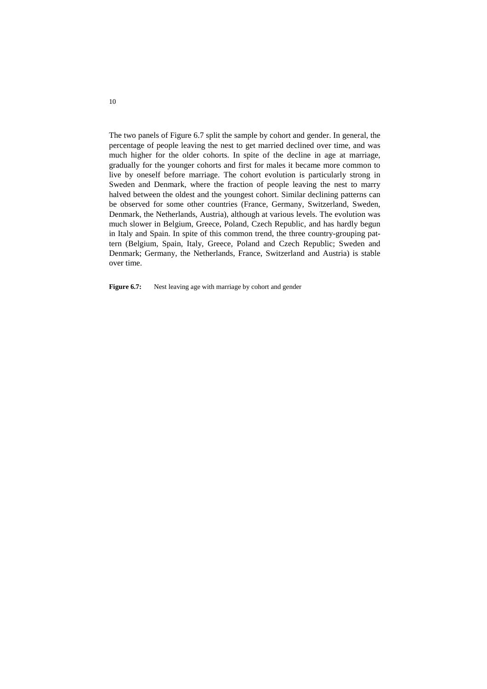The two panels of Figure 6.7 split the sample by cohort and gender. In general, the percentage of people leaving the nest to get married declined over time, and was much higher for the older cohorts. In spite of the decline in age at marriage, gradually for the younger cohorts and first for males it became more common to live by oneself before marriage. The cohort evolution is particularly strong in Sweden and Denmark, where the fraction of people leaving the nest to marry halved between the oldest and the youngest cohort. Similar declining patterns can be observed for some other countries (France, Germany, Switzerland, Sweden, Denmark, the Netherlands, Austria), although at various levels. The evolution was much slower in Belgium, Greece, Poland, Czech Republic, and has hardly begun in Italy and Spain. In spite of this common trend, the three country-grouping pattern (Belgium, Spain, Italy, Greece, Poland and Czech Republic; Sweden and Denmark; Germany, the Netherlands, France, Switzerland and Austria) is stable over time.

**Figure 6.7:** Nest leaving age with marriage by cohort and gender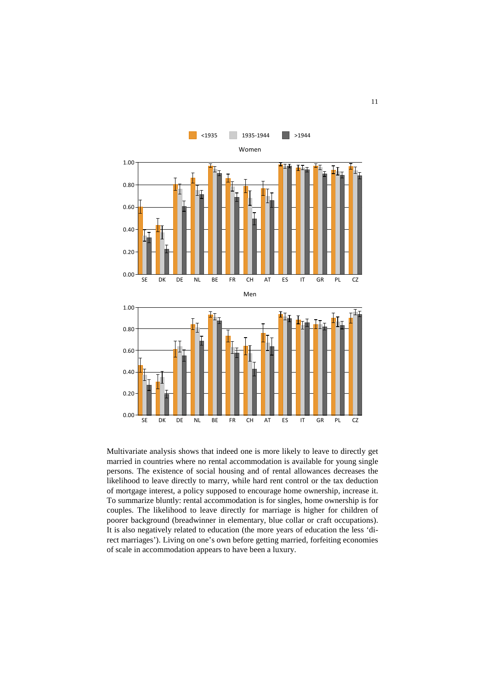

Multivariate analysis shows that indeed one is more likely to leave to directly get married in countries where no rental accommodation is available for young single persons. The existence of social housing and of rental allowances decreases the likelihood to leave directly to marry, while hard rent control or the tax deduction of mortgage interest, a policy supposed to encourage home ownership, increase it. To summarize bluntly: rental accommodation is for singles, home ownership is for couples. The likelihood to leave directly for marriage is higher for children of poorer background (breadwinner in elementary, blue collar or craft occupations). It is also negatively related to education (the more years of education the less 'direct marriages'). Living on one's own before getting married, forfeiting economies of scale in accommodation appears to have been a luxury.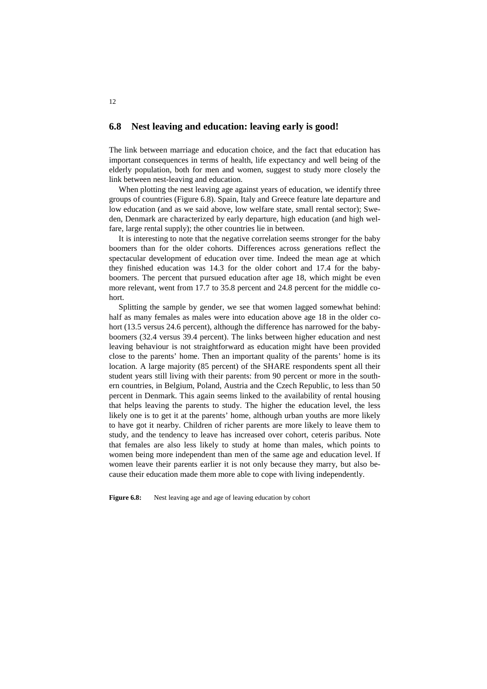#### **6.8 Nest leaving and education: leaving early is good!**

The link between marriage and education choice, and the fact that education has important consequences in terms of health, life expectancy and well being of the elderly population, both for men and women, suggest to study more closely the link between nest-leaving and education.

When plotting the nest leaving age against years of education, we identify three groups of countries (Figure 6.8). Spain, Italy and Greece feature late departure and low education (and as we said above, low welfare state, small rental sector); Sweden, Denmark are characterized by early departure, high education (and high welfare, large rental supply); the other countries lie in between.

It is interesting to note that the negative correlation seems stronger for the baby boomers than for the older cohorts. Differences across generations reflect the spectacular development of education over time. Indeed the mean age at which they finished education was 14.3 for the older cohort and 17.4 for the babyboomers. The percent that pursued education after age 18, which might be even more relevant, went from 17.7 to 35.8 percent and 24.8 percent for the middle cohort.

Splitting the sample by gender, we see that women lagged somewhat behind: half as many females as males were into education above age 18 in the older cohort (13.5 versus 24.6 percent), although the difference has narrowed for the babyboomers (32.4 versus 39.4 percent). The links between higher education and nest leaving behaviour is not straightforward as education might have been provided close to the parents' home. Then an important quality of the parents' home is its location. A large majority (85 percent) of the SHARE respondents spent all their student years still living with their parents: from 90 percent or more in the southern countries, in Belgium, Poland, Austria and the Czech Republic, to less than 50 percent in Denmark. This again seems linked to the availability of rental housing that helps leaving the parents to study. The higher the education level, the less likely one is to get it at the parents' home, although urban youths are more likely to have got it nearby. Children of richer parents are more likely to leave them to study, and the tendency to leave has increased over cohort, ceteris paribus. Note that females are also less likely to study at home than males, which points to women being more independent than men of the same age and education level. If women leave their parents earlier it is not only because they marry, but also because their education made them more able to cope with living independently.

**Figure 6.8:** Nest leaving age and age of leaving education by cohort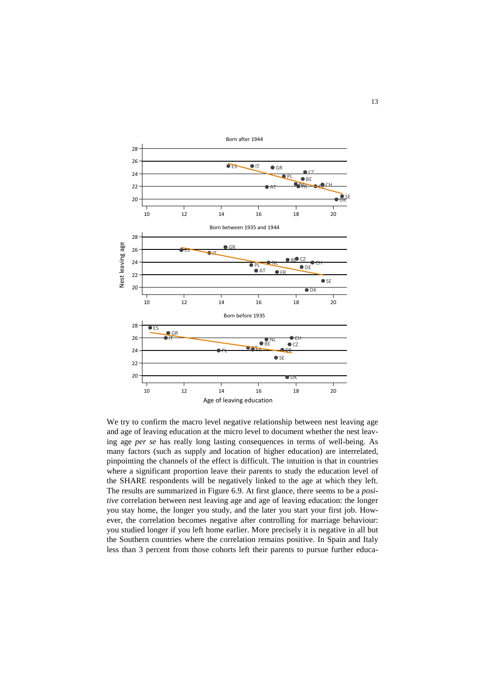

We try to confirm the macro level negative relationship between nest leaving age and age of leaving education at the micro level to document whether the nest leaving age *per se* has really long lasting consequences in terms of well-being. As many factors (such as supply and location of higher education) are interrelated, pinpointing the channels of the effect is difficult. The intuition is that in countries where a significant proportion leave their parents to study the education level of the SHARE respondents will be negatively linked to the age at which they left. The results are summarized in Figure 6.9. At first glance, there seems to be a *positive* correlation between nest leaving age and age of leaving education: the longer you stay home, the longer you study, and the later you start your first job. However, the correlation becomes negative after controlling for marriage behaviour: you studied longer if you left home earlier. More precisely it is negative in all but the Southern countries where the correlation remains positive. In Spain and Italy less than 3 percent from those cohorts left their parents to pursue further educa-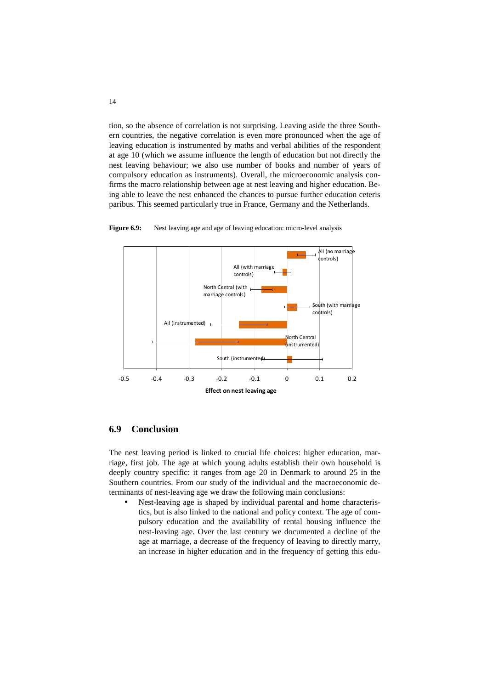tion, so the absence of correlation is not surprising. Leaving aside the three Southern countries, the negative correlation is even more pronounced when the age of leaving education is instrumented by maths and verbal abilities of the respondent at age 10 (which we assume influence the length of education but not directly the nest leaving behaviour; we also use number of books and number of years of compulsory education as instruments). Overall, the microeconomic analysis confirms the macro relationship between age at nest leaving and higher education. Being able to leave the nest enhanced the chances to pursue further education ceteris paribus. This seemed particularly true in France, Germany and the Netherlands.



Figure 6.9: Nest leaving age and age of leaving education: micro-level analysis

#### **6.9 Conclusion**

The nest leaving period is linked to crucial life choices: higher education, marriage, first job. The age at which young adults establish their own household is deeply country specific: it ranges from age 20 in Denmark to around 25 in the Southern countries. From our study of the individual and the macroeconomic determinants of nest-leaving age we draw the following main conclusions:

**Effect on nest leaving age**

-0.5 -0.4 -0.3 -0.2 -0.1 0 0.1 0.2

Nest-leaving age is shaped by individual parental and home characteristics, but is also linked to the national and policy context. The age of compulsory education and the availability of rental housing influence the nest-leaving age. Over the last century we documented a decline of the age at marriage, a decrease of the frequency of leaving to directly marry, an increase in higher education and in the frequency of getting this edu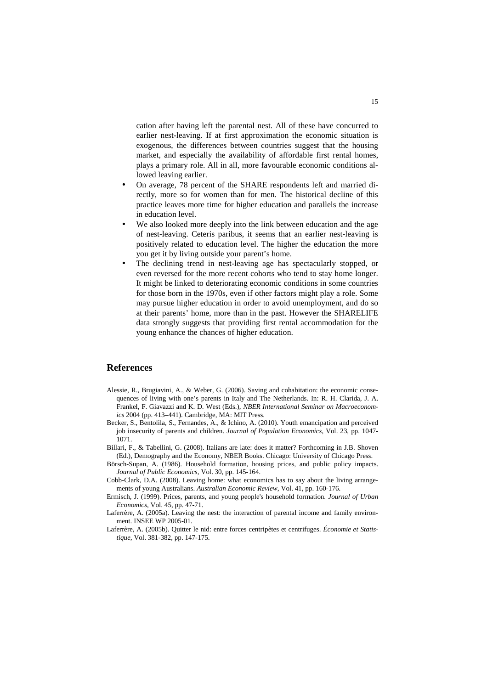cation after having left the parental nest. All of these have concurred to earlier nest-leaving. If at first approximation the economic situation is exogenous, the differences between countries suggest that the housing market, and especially the availability of affordable first rental homes, plays a primary role. All in all, more favourable economic conditions allowed leaving earlier.

- On average, 78 percent of the SHARE respondents left and married directly, more so for women than for men. The historical decline of this practice leaves more time for higher education and parallels the increase in education level.
- We also looked more deeply into the link between education and the age of nest-leaving. Ceteris paribus, it seems that an earlier nest-leaving is positively related to education level. The higher the education the more you get it by living outside your parent's home.
- The declining trend in nest-leaving age has spectacularly stopped, or even reversed for the more recent cohorts who tend to stay home longer. It might be linked to deteriorating economic conditions in some countries for those born in the 1970s, even if other factors might play a role. Some may pursue higher education in order to avoid unemployment, and do so at their parents' home, more than in the past. However the SHARELIFE data strongly suggests that providing first rental accommodation for the young enhance the chances of higher education.

#### **References**

- Alessie, R., Brugiavini, A., & Weber, G. (2006). Saving and cohabitation: the economic consequences of living with one's parents in Italy and The Netherlands. In: R. H. Clarida, J. A. Frankel, F. Giavazzi and K. D. West (Eds.), *NBER International Seminar on Macroeconomics* 2004 (pp. 413–441). Cambridge, MA: MIT Press.
- Becker, S., Bentolila, S., Fernandes, A., & Ichino, A. (2010). Youth emancipation and perceived job insecurity of parents and children. *Journal of Population Economics*, Vol. 23, pp. 1047- 1071.
- Billari, F., & Tabellini, G. (2008). Italians are late: does it matter? Forthcoming in J.B. Shoven (Ed.), Demography and the Economy, NBER Books. Chicago: University of Chicago Press.
- Börsch-Supan, A. (1986). Household formation, housing prices, and public policy impacts. *Journal of Public Economics*, Vol. 30, pp. 145-164.
- Cobb-Clark, D.A. (2008). Leaving home: what economics has to say about the living arrangements of young Australians. *Australian Economic Review*, Vol. 41, pp. 160-176.
- Ermisch, J. (1999). Prices, parents, and young people's household formation. *Journal of Urban Economics*, Vol. 45, pp. 47-71.
- Laferrère, A. (2005a). Leaving the nest: the interaction of parental income and family environment. INSEE WP 2005-01.
- Laferrère, A. (2005b). Quitter le nid: entre forces centripètes et centrifuges. *Économie et Statistique*, Vol. 381-382, pp. 147-175.